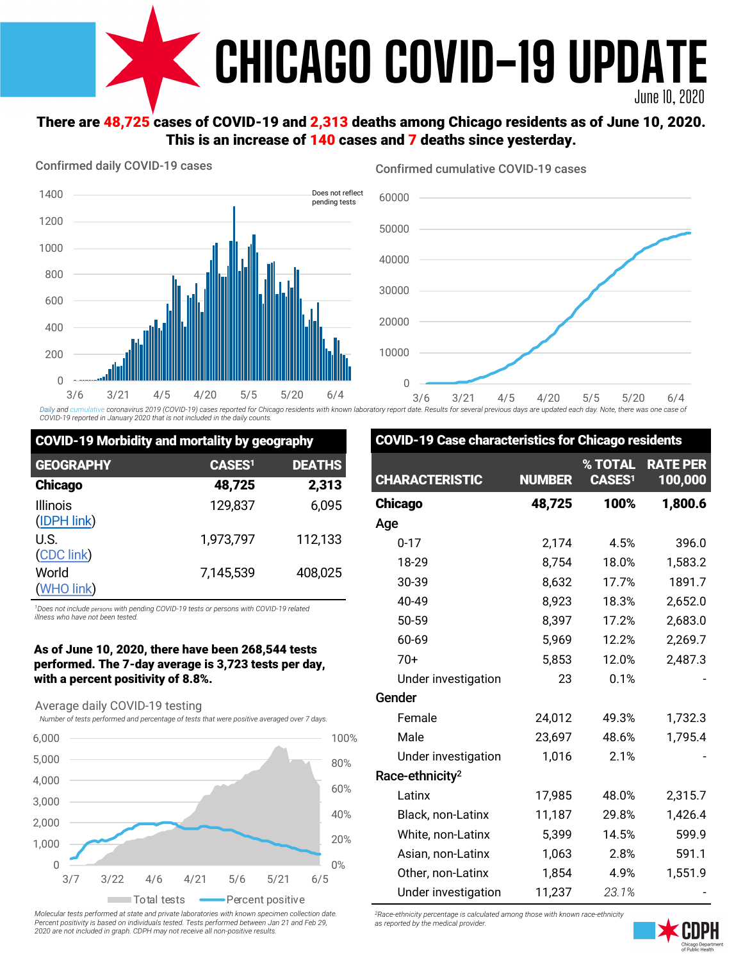

# There are 48,725 cases of COVID-19 and 2,313 deaths among Chicago residents as of June 10, 2020. This is an increase of 140 cases and 7 deaths since yesterday.

#### Confirmed daily COVID-19 cases



Confirmed cumulative COVID-19 cases

COVID-10 Case characteristics for Chic



Daily and cumulative coronavirus 2019 (COVID-19) cases reported for Chicago residents with known laboratory report date. Results for several previous days are updated each day. Note, there was one case of *COVID-19 reported in January 2020 that is not included in the daily counts.*

| <b>COVID-19 Morbidity and mortality by geography</b> |               |               |  |  |  |
|------------------------------------------------------|---------------|---------------|--|--|--|
| <b>GEOGRAPHY</b>                                     | <b>CASES1</b> | <b>DEATHS</b> |  |  |  |
| <b>Chicago</b>                                       | 48,725        | 2,313         |  |  |  |
| <b>Illinois</b><br>(IDPH link)                       | 129,837       | 6,095         |  |  |  |
| U.S.<br>(CDC link)                                   | 1,973,797     | 112,133       |  |  |  |
| World<br>(WHO link)                                  | 7,145,539     | 408,025       |  |  |  |

*1Does not include persons with pending COVID-19 tests or persons with COVID-19 related illness who have not been tested.*

#### As of June 10, 2020, there have been 268,544 tests performed. The 7-day average is 3,723 tests per day, with a percent positivity of 8.8%.

Average daily COVID-19 testing

*Number of tests performed and percentage of tests that were positive averaged over 7 days.* 



*Molecular tests performed at state and private laboratories with known specimen collection date. Percent positivity is based on individuals tested. Tests performed between Jan 21 and Feb 29, 2020 are not included in graph. CDPH may not receive all non-positive results.*

| UVVID                       | - 19 Case Characterístics for Chicago residents |                                                     |                            |
|-----------------------------|-------------------------------------------------|-----------------------------------------------------|----------------------------|
| <b>CHARACTERISTIC</b>       | <b>NUMBER</b>                                   | $\overline{\textbf{?}}$ TOTAL<br>CASES <sup>1</sup> | <b>RATE PER</b><br>100,000 |
| <b>Chicago</b>              | 48,725                                          | 100%                                                | 1,800.6                    |
| Age                         |                                                 |                                                     |                            |
| $0 - 17$                    | 2,174                                           | 4.5%                                                | 396.0                      |
| 18-29                       | 8,754                                           | 18.0%                                               | 1,583.2                    |
| 30-39                       | 8,632                                           | 17.7%                                               | 1891.7                     |
| 40-49                       | 8,923                                           | 18.3%                                               | 2,652.0                    |
| 50-59                       | 8,397                                           | 17.2%                                               | 2,683.0                    |
| 60-69                       | 5,969                                           | 12.2%                                               | 2,269.7                    |
| $70+$                       | 5,853                                           | 12.0%                                               | 2,487.3                    |
| Under investigation         | 23                                              | 0.1%                                                |                            |
| Gender                      |                                                 |                                                     |                            |
| Female                      | 24,012                                          | 49.3%                                               | 1,732.3                    |
| Male                        | 23,697                                          | 48.6%                                               | 1,795.4                    |
| Under investigation         | 1,016                                           | 2.1%                                                |                            |
| Race-ethnicity <sup>2</sup> |                                                 |                                                     |                            |
| Latinx                      | 17,985                                          | 48.0%                                               | 2,315.7                    |
| Black, non-Latinx           | 11,187                                          | 29.8%                                               | 1,426.4                    |
| White, non-Latinx           | 5,399                                           | 14.5%                                               | 599.9                      |
| Asian, non-Latinx           | 1,063                                           | 2.8%                                                | 591.1                      |
| Other, non-Latinx           | 1,854                                           | 4.9%                                                | 1,551.9                    |
| Under investigation         | 11,237                                          | 23.1%                                               |                            |

*2Race-ethnicity percentage is calculated among those with known race-ethnicity as reported by the medical provider.*